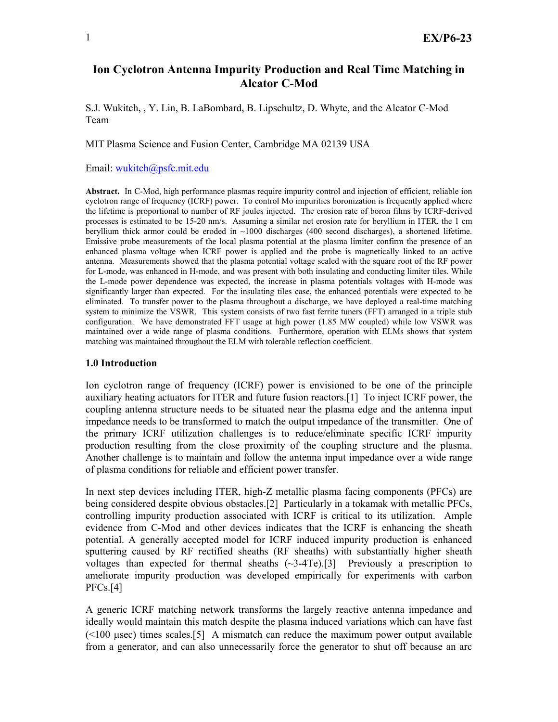# **Ion Cyclotron Antenna Impurity Production and Real Time Matching in Alcator C-Mod**

S.J. Wukitch, , Y. Lin, B. LaBombard, B. Lipschultz, D. Whyte, and the Alcator C-Mod Team

MIT Plasma Science and Fusion Center, Cambridge MA 02139 USA

Email: wukitch@psfc.mit.edu

**Abstract.** In C-Mod, high performance plasmas require impurity control and injection of efficient, reliable ion cyclotron range of frequency (ICRF) power. To control Mo impurities boronization is frequently applied where the lifetime is proportional to number of RF joules injected. The erosion rate of boron films by ICRF-derived processes is estimated to be 15-20 nm/s. Assuming a similar net erosion rate for beryllium in ITER, the 1 cm beryllium thick armor could be eroded in ~1000 discharges (400 second discharges), a shortened lifetime. Emissive probe measurements of the local plasma potential at the plasma limiter confirm the presence of an enhanced plasma voltage when ICRF power is applied and the probe is magnetically linked to an active antenna. Measurements showed that the plasma potential voltage scaled with the square root of the RF power for L-mode, was enhanced in H-mode, and was present with both insulating and conducting limiter tiles. While the L-mode power dependence was expected, the increase in plasma potentials voltages with H-mode was significantly larger than expected. For the insulating tiles case, the enhanced potentials were expected to be eliminated. To transfer power to the plasma throughout a discharge, we have deployed a real-time matching system to minimize the VSWR. This system consists of two fast ferrite tuners (FFT) arranged in a triple stub configuration. We have demonstrated FFT usage at high power (1.85 MW coupled) while low VSWR was maintained over a wide range of plasma conditions. Furthermore, operation with ELMs shows that system matching was maintained throughout the ELM with tolerable reflection coefficient.

## **1.0 Introduction**

Ion cyclotron range of frequency (ICRF) power is envisioned to be one of the principle auxiliary heating actuators for ITER and future fusion reactors.[1] To inject ICRF power, the coupling antenna structure needs to be situated near the plasma edge and the antenna input impedance needs to be transformed to match the output impedance of the transmitter. One of the primary ICRF utilization challenges is to reduce/eliminate specific ICRF impurity production resulting from the close proximity of the coupling structure and the plasma. Another challenge is to maintain and follow the antenna input impedance over a wide range of plasma conditions for reliable and efficient power transfer.

In next step devices including ITER, high-Z metallic plasma facing components (PFCs) are being considered despite obvious obstacles.[2] Particularly in a tokamak with metallic PFCs, controlling impurity production associated with ICRF is critical to its utilization. Ample evidence from C-Mod and other devices indicates that the ICRF is enhancing the sheath potential. A generally accepted model for ICRF induced impurity production is enhanced sputtering caused by RF rectified sheaths (RF sheaths) with substantially higher sheath voltages than expected for thermal sheaths  $(\sim 3-4$ Te).[3] Previously a prescription to ameliorate impurity production was developed empirically for experiments with carbon PFCs.[4]

A generic ICRF matching network transforms the largely reactive antenna impedance and ideally would maintain this match despite the plasma induced variations which can have fast  $(\leq 100 \text{ µsec})$  times scales.[5] A mismatch can reduce the maximum power output available from a generator, and can also unnecessarily force the generator to shut off because an arc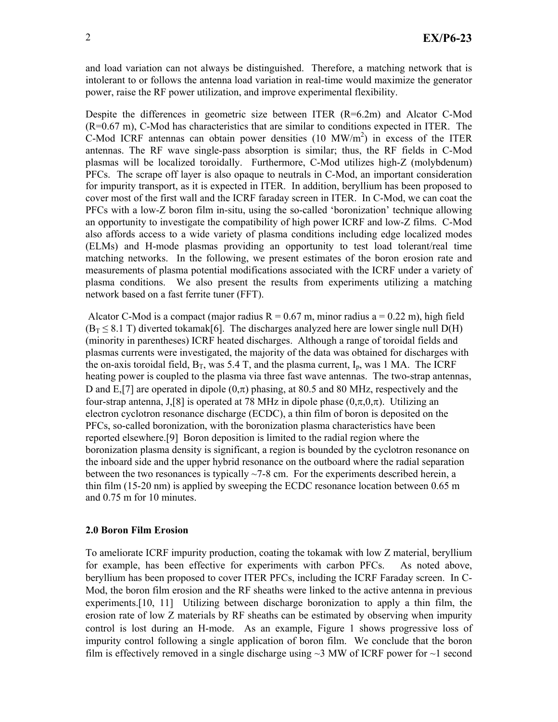and load variation can not always be distinguished. Therefore, a matching network that is intolerant to or follows the antenna load variation in real-time would maximize the generator power, raise the RF power utilization, and improve experimental flexibility.

Despite the differences in geometric size between ITER (R=6.2m) and Alcator C-Mod (R=0.67 m), C-Mod has characteristics that are similar to conditions expected in ITER. The C-Mod ICRF antennas can obtain power densities  $(10 \text{ MW/m}^2)$  in excess of the ITER antennas. The RF wave single-pass absorption is similar; thus, the RF fields in C-Mod plasmas will be localized toroidally. Furthermore, C-Mod utilizes high-Z (molybdenum) PFCs. The scrape off layer is also opaque to neutrals in C-Mod, an important consideration for impurity transport, as it is expected in ITER. In addition, beryllium has been proposed to cover most of the first wall and the ICRF faraday screen in ITER. In C-Mod, we can coat the PFCs with a low-Z boron film in-situ, using the so-called 'boronization' technique allowing an opportunity to investigate the compatibility of high power ICRF and low-Z films. C-Mod also affords access to a wide variety of plasma conditions including edge localized modes (ELMs) and H-mode plasmas providing an opportunity to test load tolerant/real time matching networks. In the following, we present estimates of the boron erosion rate and measurements of plasma potential modifications associated with the ICRF under a variety of plasma conditions. We also present the results from experiments utilizing a matching network based on a fast ferrite tuner (FFT).

Alcator C-Mod is a compact (major radius  $R = 0.67$  m, minor radius a = 0.22 m), high field  $(B_T \leq 8.1 \text{ T})$  diverted tokamak[6]. The discharges analyzed here are lower single null D(H) (minority in parentheses) ICRF heated discharges. Although a range of toroidal fields and plasmas currents were investigated, the majority of the data was obtained for discharges with the on-axis toroidal field,  $B_T$ , was 5.4 T, and the plasma current,  $I_p$ , was 1 MA. The ICRF heating power is coupled to the plasma via three fast wave antennas. The two-strap antennas, D and E,[7] are operated in dipole  $(0,\pi)$  phasing, at 80.5 and 80 MHz, respectively and the four-strap antenna, J,[8] is operated at 78 MHz in dipole phase  $(0,\pi,0,\pi)$ . Utilizing an electron cyclotron resonance discharge (ECDC), a thin film of boron is deposited on the PFCs, so-called boronization, with the boronization plasma characteristics have been reported elsewhere.[9] Boron deposition is limited to the radial region where the boronization plasma density is significant, a region is bounded by the cyclotron resonance on the inboard side and the upper hybrid resonance on the outboard where the radial separation between the two resonances is typically  $\sim$ 7-8 cm. For the experiments described herein, a thin film (15-20 nm) is applied by sweeping the ECDC resonance location between 0.65 m and 0.75 m for 10 minutes.

### **2.0 Boron Film Erosion**

To ameliorate ICRF impurity production, coating the tokamak with low Z material, beryllium for example, has been effective for experiments with carbon PFCs. As noted above, beryllium has been proposed to cover ITER PFCs, including the ICRF Faraday screen. In C-Mod, the boron film erosion and the RF sheaths were linked to the active antenna in previous experiments.<sup>[10, 11]</sup> Utilizing between discharge boronization to apply a thin film, the erosion rate of low Z materials by RF sheaths can be estimated by observing when impurity control is lost during an H-mode. As an example, Figure 1 shows progressive loss of impurity control following a single application of boron film. We conclude that the boron film is effectively removed in a single discharge using  $\sim$ 3 MW of ICRF power for  $\sim$ 1 second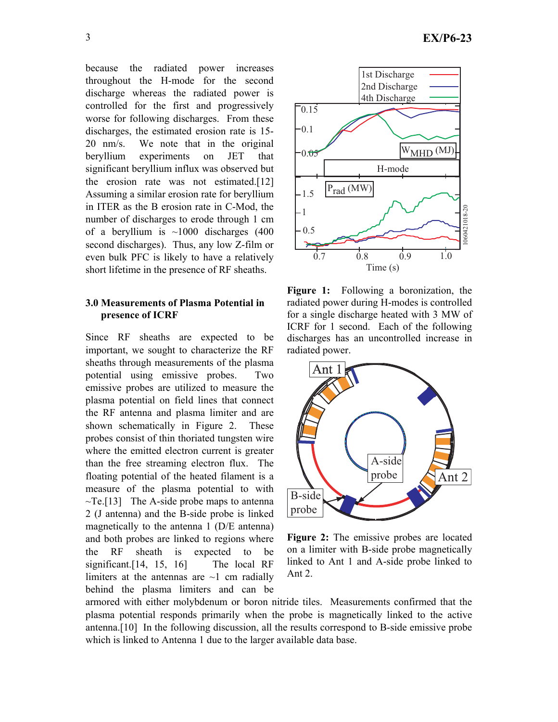because the radiated power increases throughout the H-mode for the second discharge whereas the radiated power is controlled for the first and progressively worse for following discharges. From these discharges, the estimated erosion rate is 15- 20 nm/s. We note that in the original beryllium experiments on JET that significant beryllium influx was observed but the erosion rate was not estimated.[12] Assuming a similar erosion rate for beryllium in ITER as the B erosion rate in C-Mod, the number of discharges to erode through 1 cm of a beryllium is  $\sim$ 1000 discharges (400 second discharges). Thus, any low Z-film or even bulk PFC is likely to have a relatively short lifetime in the presence of RF sheaths.

# **3.0 Measurements of Plasma Potential in presence of ICRF**

Since RF sheaths are expected to be important, we sought to characterize the RF sheaths through measurements of the plasma potential using emissive probes. Two emissive probes are utilized to measure the plasma potential on field lines that connect the RF antenna and plasma limiter and are shown schematically in Figure 2. These probes consist of thin thoriated tungsten wire where the emitted electron current is greater than the free streaming electron flux. The floating potential of the heated filament is a measure of the plasma potential to with  $\neg$ Te.[13] The A-side probe maps to antenna 2 (J antenna) and the B-side probe is linked magnetically to the antenna 1 (D/E antenna) and both probes are linked to regions where the RF sheath is expected to be significant.[14, 15, 16] The local RF limiters at the antennas are  $\sim$ 1 cm radially behind the plasma limiters and can be



**Figure 1:** Following a boronization, the radiated power during H-modes is controlled for a single discharge heated with 3 MW of ICRF for 1 second. Each of the following discharges has an uncontrolled increase in radiated power.



**Figure 2:** The emissive probes are located on a limiter with B-side probe magnetically linked to Ant 1 and A-side probe linked to Ant 2.

armored with either molybdenum or boron nitride tiles. Measurements confirmed that the plasma potential responds primarily when the probe is magnetically linked to the active antenna.[10] In the following discussion, all the results correspond to B-side emissive probe which is linked to Antenna 1 due to the larger available data base.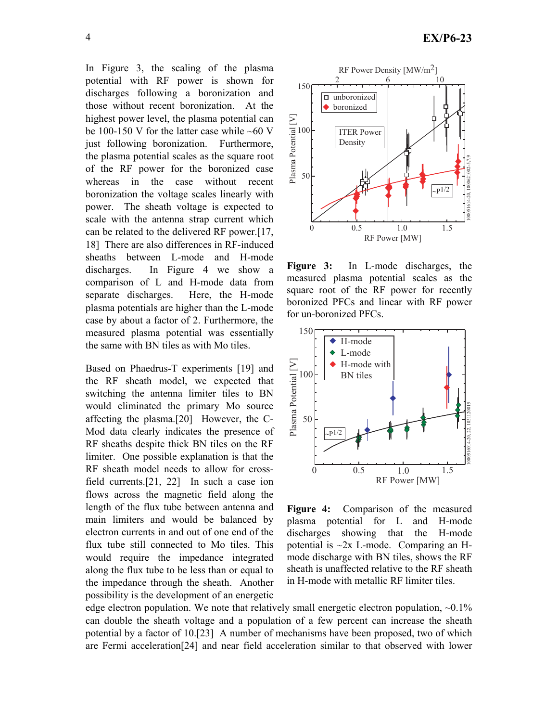In Figure 3, the scaling of the plasma potential with RF power is shown for discharges following a boronization and those without recent boronization. At the highest power level, the plasma potential can be 100-150 V for the latter case while  $~100$  V just following boronization. Furthermore, the plasma potential scales as the square root of the RF power for the boronized case whereas in the case without recent boronization the voltage scales linearly with power. The sheath voltage is expected to scale with the antenna strap current which can be related to the delivered RF power.[17, 18] There are also differences in RF-induced sheaths between L-mode and H-mode discharges. In Figure 4 we show a comparison of L and H-mode data from separate discharges. Here, the H-mode plasma potentials are higher than the L-mode case by about a factor of 2. Furthermore, the measured plasma potential was essentially the same with BN tiles as with Mo tiles.

Based on Phaedrus-T experiments [19] and the RF sheath model, we expected that switching the antenna limiter tiles to BN would eliminated the primary Mo source affecting the plasma.[20] However, the C-Mod data clearly indicates the presence of RF sheaths despite thick BN tiles on the RF limiter. One possible explanation is that the RF sheath model needs to allow for crossfield currents.[21, 22] In such a case ion flows across the magnetic field along the length of the flux tube between antenna and main limiters and would be balanced by electron currents in and out of one end of the flux tube still connected to Mo tiles. This would require the impedance integrated along the flux tube to be less than or equal to the impedance through the sheath. Another possibility is the development of an energetic



**Figure 3:** In L-mode discharges, the measured plasma potential scales as the square root of the RF power for recently boronized PFCs and linear with RF power for un-boronized PFCs.



**Figure 4:** Comparison of the measured plasma potential for L and H-mode discharges showing that the H-mode potential is  $\sim$ 2x L-mode. Comparing an Hmode discharge with BN tiles, shows the RF sheath is unaffected relative to the RF sheath in H-mode with metallic RF limiter tiles.

edge electron population. We note that relatively small energetic electron population,  $\sim 0.1\%$ can double the sheath voltage and a population of a few percent can increase the sheath potential by a factor of 10.[23] A number of mechanisms have been proposed, two of which are Fermi acceleration[24] and near field acceleration similar to that observed with lower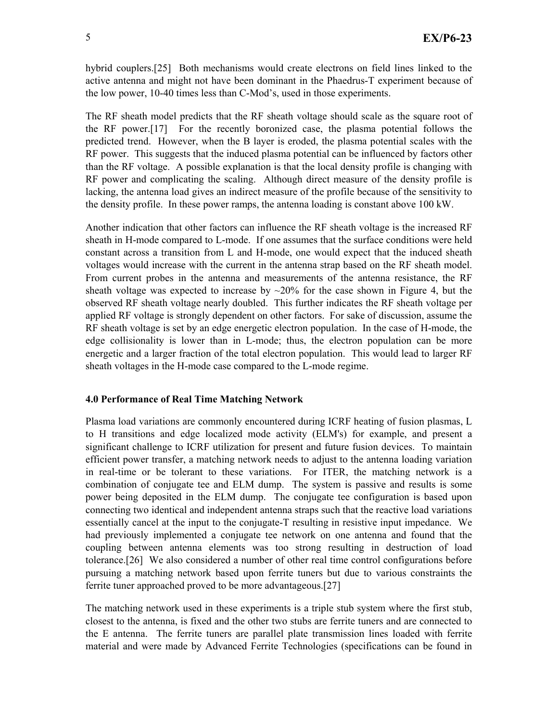hybrid couplers.[25] Both mechanisms would create electrons on field lines linked to the active antenna and might not have been dominant in the Phaedrus-T experiment because of the low power, 10-40 times less than C-Mod's, used in those experiments.

The RF sheath model predicts that the RF sheath voltage should scale as the square root of the RF power.[17] For the recently boronized case, the plasma potential follows the predicted trend. However, when the B layer is eroded, the plasma potential scales with the RF power. This suggests that the induced plasma potential can be influenced by factors other than the RF voltage. A possible explanation is that the local density profile is changing with RF power and complicating the scaling. Although direct measure of the density profile is lacking, the antenna load gives an indirect measure of the profile because of the sensitivity to the density profile. In these power ramps, the antenna loading is constant above 100 kW.

Another indication that other factors can influence the RF sheath voltage is the increased RF sheath in H-mode compared to L-mode. If one assumes that the surface conditions were held constant across a transition from L and H-mode, one would expect that the induced sheath voltages would increase with the current in the antenna strap based on the RF sheath model. From current probes in the antenna and measurements of the antenna resistance, the RF sheath voltage was expected to increase by  $\sim$ 20% for the case shown in Figure 4, but the observed RF sheath voltage nearly doubled. This further indicates the RF sheath voltage per applied RF voltage is strongly dependent on other factors. For sake of discussion, assume the RF sheath voltage is set by an edge energetic electron population. In the case of H-mode, the edge collisionality is lower than in L-mode; thus, the electron population can be more energetic and a larger fraction of the total electron population. This would lead to larger RF sheath voltages in the H-mode case compared to the L-mode regime.

### **4.0 Performance of Real Time Matching Network**

Plasma load variations are commonly encountered during ICRF heating of fusion plasmas, L to H transitions and edge localized mode activity (ELM's) for example, and present a significant challenge to ICRF utilization for present and future fusion devices. To maintain efficient power transfer, a matching network needs to adjust to the antenna loading variation in real-time or be tolerant to these variations. For ITER, the matching network is a combination of conjugate tee and ELM dump. The system is passive and results is some power being deposited in the ELM dump. The conjugate tee configuration is based upon connecting two identical and independent antenna straps such that the reactive load variations essentially cancel at the input to the conjugate-T resulting in resistive input impedance. We had previously implemented a conjugate tee network on one antenna and found that the coupling between antenna elements was too strong resulting in destruction of load tolerance.[26] We also considered a number of other real time control configurations before pursuing a matching network based upon ferrite tuners but due to various constraints the ferrite tuner approached proved to be more advantageous.[27]

The matching network used in these experiments is a triple stub system where the first stub, closest to the antenna, is fixed and the other two stubs are ferrite tuners and are connected to the E antenna. The ferrite tuners are parallel plate transmission lines loaded with ferrite material and were made by Advanced Ferrite Technologies (specifications can be found in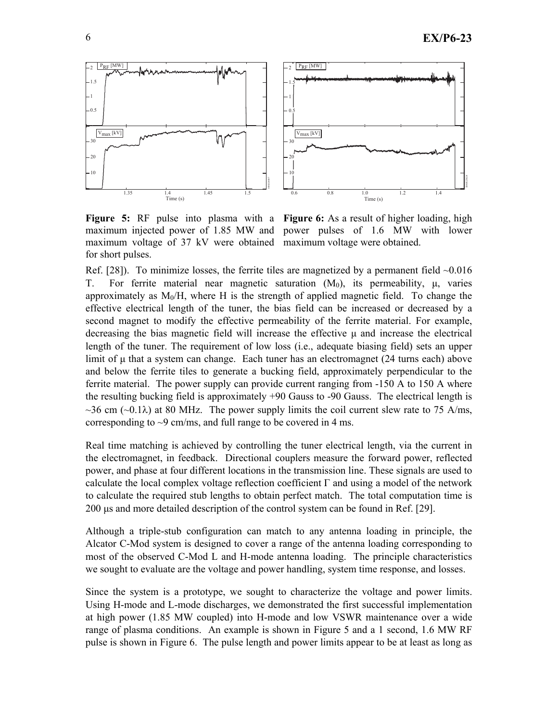

**Figure 5:** RF pulse into plasma with a Figure 6: As a result of higher loading, high maximum injected power of 1.85 MW and power pulses of 1.6 MW with lower maximum voltage of 37 kV were obtained maximum voltage were obtained. for short pulses.

Ref. [28]). To minimize losses, the ferrite tiles are magnetized by a permanent field  $\sim 0.016$ T. For ferrite material near magnetic saturation  $(M_0)$ , its permeability,  $\mu$ , varies approximately as  $M<sub>0</sub>/H$ , where H is the strength of applied magnetic field. To change the effective electrical length of the tuner, the bias field can be increased or decreased by a second magnet to modify the effective permeability of the ferrite material. For example, decreasing the bias magnetic field will increase the effective  $\mu$  and increase the electrical length of the tuner. The requirement of low loss (i.e., adequate biasing field) sets an upper limit of  $\mu$  that a system can change. Each tuner has an electromagnet (24 turns each) above and below the ferrite tiles to generate a bucking field, approximately perpendicular to the ferrite material. The power supply can provide current ranging from -150 A to 150 A where the resulting bucking field is approximately +90 Gauss to -90 Gauss. The electrical length is  $\sim$ 36 cm ( $\sim$ 0.1 $\lambda$ ) at 80 MHz. The power supply limits the coil current slew rate to 75 A/ms, corresponding to  $\sim$ 9 cm/ms, and full range to be covered in 4 ms.

Real time matching is achieved by controlling the tuner electrical length, via the current in the electromagnet, in feedback. Directional couplers measure the forward power, reflected power, and phase at four different locations in the transmission line. These signals are used to calculate the local complex voltage reflection coefficient  $\Gamma$  and using a model of the network to calculate the required stub lengths to obtain perfect match. The total computation time is 200 µs and more detailed description of the control system can be found in Ref. [29].

Although a triple-stub configuration can match to any antenna loading in principle, the Alcator C-Mod system is designed to cover a range of the antenna loading corresponding to most of the observed C-Mod L and H-mode antenna loading. The principle characteristics we sought to evaluate are the voltage and power handling, system time response, and losses.

Since the system is a prototype, we sought to characterize the voltage and power limits. Using H-mode and L-mode discharges, we demonstrated the first successful implementation at high power (1.85 MW coupled) into H-mode and low VSWR maintenance over a wide range of plasma conditions. An example is shown in Figure 5 and a 1 second, 1.6 MW RF pulse is shown in Figure 6. The pulse length and power limits appear to be at least as long as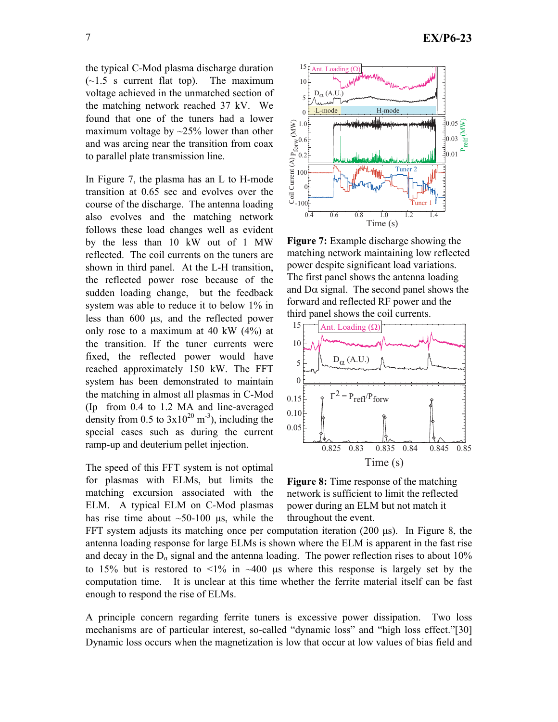the typical C-Mod plasma discharge duration  $(-1.5 \text{ s current flat top})$ . The maximum voltage achieved in the unmatched section of the matching network reached 37 kV. We found that one of the tuners had a lower maximum voltage by  $\sim$ 25% lower than other and was arcing near the transition from coax to parallel plate transmission line.

In Figure 7, the plasma has an L to H-mode transition at 0.65 sec and evolves over the course of the discharge. The antenna loading also evolves and the matching network follows these load changes well as evident by the less than 10 kW out of 1 MW reflected. The coil currents on the tuners are shown in third panel. At the L-H transition, the reflected power rose because of the sudden loading change, but the feedback system was able to reduce it to below 1% in less than 600 µs, and the reflected power only rose to a maximum at 40 kW (4%) at the transition. If the tuner currents were fixed, the reflected power would have reached approximately 150 kW. The FFT system has been demonstrated to maintain the matching in almost all plasmas in C-Mod (Ip from 0.4 to 1.2 MA and line-averaged density from 0.5 to  $3x10^{20}$  m<sup>-3</sup>), including the special cases such as during the current ramp-up and deuterium pellet injection.

The speed of this FFT system is not optimal for plasmas with ELMs, but limits the matching excursion associated with the ELM. A typical ELM on C-Mod plasmas has rise time about  $\sim 50{\text -}100$  µs, while the



**Figure 7:** Example discharge showing the matching network maintaining low reflected power despite significant load variations. The first panel shows the antenna loading and  $D\alpha$  signal. The second panel shows the forward and reflected RF power and the third panel shows the coil currents.



**Figure 8:** Time response of the matching network is sufficient to limit the reflected power during an ELM but not match it throughout the event.

FFT system adjusts its matching once per computation iteration (200 µs). In Figure 8, the antenna loading response for large ELMs is shown where the ELM is apparent in the fast rise and decay in the  $D_{\alpha}$  signal and the antenna loading. The power reflection rises to about 10% to 15% but is restored to  $\leq 1\%$  in  $\sim 400$  us where this response is largely set by the computation time. It is unclear at this time whether the ferrite material itself can be fast enough to respond the rise of ELMs.

A principle concern regarding ferrite tuners is excessive power dissipation. Two loss mechanisms are of particular interest, so-called "dynamic loss" and "high loss effect."[30] Dynamic loss occurs when the magnetization is low that occur at low values of bias field and